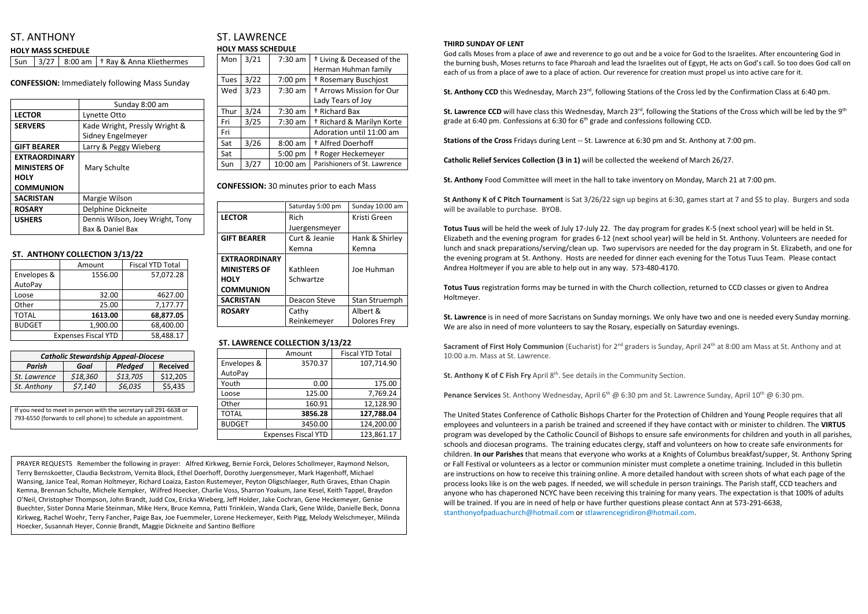# ST. ANTHONY

#### **HOLY MASS SCHEDULE**

Sun  $\left| \frac{3}{27} \right|$  8:00 am  $\left| \frac{1}{27} \right|$  Ray & Anna Kliethermes

**CONFESSION:** Immediately following Mass Sunday

|                      | Sunday 8:00 am                   |  |  |
|----------------------|----------------------------------|--|--|
| <b>LECTOR</b>        | Lynette Otto                     |  |  |
| <b>SERVERS</b>       | Kade Wright, Pressly Wright &    |  |  |
|                      | Sidney Engelmeyer                |  |  |
| <b>GIFT BEARER</b>   | Larry & Peggy Wieberg            |  |  |
| <b>EXTRAORDINARY</b> |                                  |  |  |
| <b>MINISTERS OF</b>  | Mary Schulte                     |  |  |
| <b>HOLY</b>          |                                  |  |  |
| <b>COMMUNION</b>     |                                  |  |  |
| <b>SACRISTAN</b>     | Margie Wilson                    |  |  |
| <b>ROSARY</b>        | Delphine Dickneite               |  |  |
| <b>USHERS</b>        | Dennis Wilson, Joey Wright, Tony |  |  |
|                      | Bax & Daniel Bax                 |  |  |

### **ST. ANTHONY COLLECTION 3/13/22**

|                            | Amount    | <b>Fiscal YTD Total</b> |  |
|----------------------------|-----------|-------------------------|--|
| Envelopes &                | 1556.00   | 57,072.28               |  |
| AutoPay                    |           |                         |  |
| Loose                      | 32.00     | 4627.00                 |  |
| Other                      | 25.00     | 7,177.77                |  |
| <b>TOTAL</b>               | 1613.00   | 68,877.05               |  |
| <b>BUDGET</b>              | 1,900.00  | 68,400.00               |  |
| <b>Expenses Fiscal YTD</b> | 58,488.17 |                         |  |

# ST. LAWRENCE **HOLY MASS SCHEDULE**

| Mon         | 3/21 | $7:30$ am | <sup>†</sup> Living & Deceased of the<br>Herman Huhman family |
|-------------|------|-----------|---------------------------------------------------------------|
| <b>Tues</b> | 3/22 | 7:00 pm   | † Rosemary Buschjost                                          |
| Wed         | 3/23 | $7:30$ am | <sup>†</sup> Arrows Mission for Our                           |
|             |      |           | Lady Tears of Joy                                             |
| Thur        | 3/24 | $7:30$ am | <sup>†</sup> Richard Bax                                      |
| Fri         | 3/25 | $7:30$ am | <sup>†</sup> Richard & Marilyn Korte                          |
| Fri         |      |           | Adoration until 11:00 am                                      |
| Sat         | 3/26 | $8:00$ am | <sup>+</sup> Alfred Doerhoff                                  |
| Sat         |      | 5:00 pm   | <sup>†</sup> Roger Heckemeyer                                 |
| Sun         | 3/27 | 10:00 am  | Parishioners of St. Lawrence                                  |

**CONFESSION:** 30 minutes prior to each Mass

|                      | Saturday 5:00 pm | Sunday 10:00 am     |  |
|----------------------|------------------|---------------------|--|
| <b>LECTOR</b>        | Rich             | Kristi Green        |  |
|                      | Juergensmeyer    |                     |  |
| <b>GIFT BEARER</b>   | Curt & Jeanie    | Hank & Shirley      |  |
|                      | Kemna            | Kemna               |  |
| <b>EXTRAORDINARY</b> |                  |                     |  |
| <b>MINISTERS OF</b>  | Kathleen         | Joe Huhman          |  |
| <b>HOLY</b>          | Schwartze        |                     |  |
| <b>COMMUNION</b>     |                  |                     |  |
| <b>SACRISTAN</b>     | Deacon Steve     | Stan Struemph       |  |
| <b>ROSARY</b>        | Cathy            | Albert &            |  |
|                      | Reinkemeyer      | <b>Dolores Frey</b> |  |

## **ST. LAWRENCE COLLECTION 3/13/22**

|               | Amount                     | <b>Fiscal YTD Total</b> |
|---------------|----------------------------|-------------------------|
| Envelopes &   | 3570.37                    | 107,714.90              |
| AutoPay       |                            |                         |
| Youth         | 0.00                       | 175.00                  |
| Loose         | 125.00                     | 7,769.24                |
| Other         | 160.91                     | 12,128.90               |
| <b>TOTAL</b>  | 3856.28                    | 127,788.04              |
| <b>BUDGET</b> | 3450.00                    | 124,200.00              |
|               | <b>Expenses Fiscal YTD</b> | 123,861.17              |

#### **THIRD SUNDAY OF LENT**

God calls Moses from a place of awe and reverence to go out and be a voice for God to the Israelites. After encountering God in the burning bush, Moses returns to face Pharoah and lead the Israelites out of Egypt, He acts on God's call. So too does God call on each of us from a place of awe to a place of action. Our reverence for creation must propel us into active care for it.

**St. Anthony CCD** this Wednesday, March 23<sup>rd</sup>, following Stations of the Cross led by the Confirmation Class at 6:40 pm.

St. Lawrence CCD will have class this Wednesday, March 23<sup>rd</sup>, following the Stations of the Cross which will be led by the 9<sup>th</sup> grade at 6:40 pm. Confessions at 6:30 for 6<sup>th</sup> grade and confessions following CCD.

**Sacrament of First Holy Communion** (Eucharist) for 2<sup>nd</sup> graders is Sunday, April 24<sup>th</sup> at 8:00 am Mass at St. Anthony and at 10:00 a.m. Mass at St. Lawrence.

**Stations of the Cross** Fridays during Lent -- St. Lawrence at 6:30 pm and St. Anthony at 7:00 pm.

**Catholic Relief Services Collection (3 in 1)** will be collected the weekend of March 26/27.

**St. Anthony** Food Committee will meet in the hall to take inventory on Monday, March 21 at 7:00 pm.

**St Anthony K of C Pitch Tournament** is Sat 3/26/22 sign up begins at 6:30, games start at 7 and \$5 to play. Burgers and soda will be available to purchase. BYOB.

**Totus Tuus** will be held the week of July 17-July 22. The day program for grades K-5 (next school year) will be held in St. Elizabeth and the evening program for grades 6-12 (next school year) will be held in St. Anthony. Volunteers are needed for lunch and snack preparations/serving/clean up. Two supervisors are needed for the day program in St. Elizabeth, and one for the evening program at St. Anthony. Hosts are needed for dinner each evening for the Totus Tuus Team. Please contact Andrea Holtmeyer if you are able to help out in any way. 573-480-4170.

**Totus Tuus** registration forms may be turned in with the Church collection, returned to CCD classes or given to Andrea Holtmeyer.

**St. Lawrence** is in need of more Sacristans on Sunday mornings. We only have two and one is needed every Sunday morning. We are also in need of more volunteers to say the Rosary, especially on Saturday evenings.

**St. Anthony K of C Fish Fry** April 8 th . See details in the Community Section.

Penance Services St. Anthony Wednesday, April 6<sup>th</sup> @ 6:30 pm and St. Lawrence Sunday, April 10<sup>th</sup> @ 6:30 pm.

The United States Conference of Catholic Bishops Charter for the Protection of Children and Young People requires that all employees and volunteers in a parish be trained and screened if they have contact with or minister to children. The **VIRTUS** program was developed by the Catholic Council of Bishops to ensure safe environments for children and youth in all parishes, schools and diocesan programs. The training educates clergy, staff and volunteers on how to create safe environments for children. **In our Parishes** that means that everyone who works at a Knights of Columbus breakfast/supper, St. Anthony Spring or Fall Festival or volunteers as a lector or communion minister must complete a onetime training. Included in this bulletin are instructions on how to receive this training online. A more detailed handout with screen shots of what each page of the process looks like is on the web pages. If needed, we will schedule in person trainings. The Parish staff, CCD teachers and anyone who has chaperoned NCYC have been receiving this training for many years. The expectation is that 100% of adults will be trained. If you are in need of help or have further questions please contact Ann at 573-291-6638, [stanthonyofpaduachurch@hotmail.com](mailto:stanthonyofpaduachurch@hotmail.com) or [stlawrencegridiron@hotmail.com.](mailto:stlawrencegridiron@hotmail.com)

| <b>Catholic Stewardship Appeal-Diocese</b> |          |          |                 |  |
|--------------------------------------------|----------|----------|-----------------|--|
| Parish                                     | Goal     | Pledged  | <b>Received</b> |  |
| St. Lawrence                               | \$18,360 | \$13,705 | \$12,205        |  |
| St. Anthony                                | \$7,140  | \$6,035  | \$5,435         |  |

| If you need to meet in person with the secretary call 291-6638 or |  |
|-------------------------------------------------------------------|--|
| 793-6550 (forwards to cell phone) to schedule an appointment.     |  |

PRAYER REQUESTS Remember the following in prayer: Alfred Kirkweg, Bernie Forck, Delores Schollmeyer, Raymond Nelson, Terry Bernskoetter, Claudia Beckstrom, Vernita Block, Ethel Doerhoff, Dorothy Juergensmeyer, Mark Hagenhoff, Michael Wansing, Janice Teal, Roman Holtmeyer, Richard Loaiza, Easton Rustemeyer, Peyton Oligschlaeger, Ruth Graves, Ethan Chapin Kemna, Brennan Schulte, Michele Kempker, Wilfred Hoecker, Charlie Voss, Sharron Yoakum, Jane Kesel, Keith Tappel, Braydon O'Neil, Christopher Thompson, John Brandt, Judd Cox, Ericka Wieberg, Jeff Holder, Jake Cochran, Gene Heckemeyer, Genise Buechter, Sister Donna Marie Steinman, Mike Herx, Bruce Kemna, Patti Trinklein, Wanda Clark, Gene Wilde, Danielle Beck, Donna Kirkweg, Rachel Woehr, Terry Fancher, Paige Bax, Joe Fuemmeler, Lorene Heckemeyer, Keith Pigg, Melody Welschmeyer, Milinda Hoecker, Susannah Heyer, Connie Brandt, Maggie Dickneite and Santino Belfiore